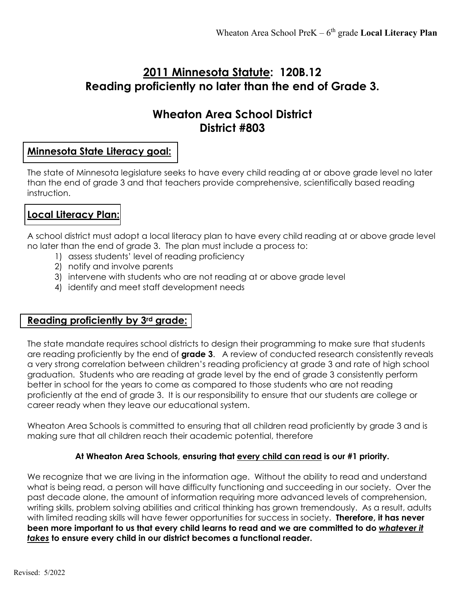# **2011 Minnesota Statute: 120B.12 Reading proficiently no later than the end of Grade 3.**

# **Wheaton Area School District District #803**

## **Minnesota State Literacy goal:**

The state of Minnesota legislature seeks to have every child reading at or above grade level no later than the end of grade 3 and that teachers provide comprehensive, scientifically based reading instruction.

## **Local Literacy Plan:**

A school district must adopt a local literacy plan to have every child reading at or above grade level no later than the end of grade 3. The plan must include a process to:

- 1) assess students' level of reading proficiency
- 2) notify and involve parents
- 3) intervene with students who are not reading at or above grade level
- 4) identify and meet staff development needs

## **Reading proficiently by 3rd grade:**

The state mandate requires school districts to design their programming to make sure that students are reading proficiently by the end of **grade 3**. A review of conducted research consistently reveals a very strong correlation between children's reading proficiency at grade 3 and rate of high school graduation. Students who are reading at grade level by the end of grade 3 consistently perform better in school for the years to come as compared to those students who are not reading proficiently at the end of grade 3. It is our responsibility to ensure that our students are college or career ready when they leave our educational system.

Wheaton Area Schools is committed to ensuring that all children read proficiently by grade 3 and is making sure that all children reach their academic potential, therefore

#### **At Wheaton Area Schools, ensuring that every child can read is our #1 priority.**

We recognize that we are living in the information age. Without the ability to read and understand what is being read, a person will have difficulty functioning and succeeding in our society. Over the past decade alone, the amount of information requiring more advanced levels of comprehension, writing skills, problem solving abilities and critical thinking has grown tremendously. As a result, adults with limited reading skills will have fewer opportunities for success in society. **Therefore, it has never been more important to us that every child learns to read and we are committed to do** *whatever it takes* **to ensure every child in our district becomes a functional reader.**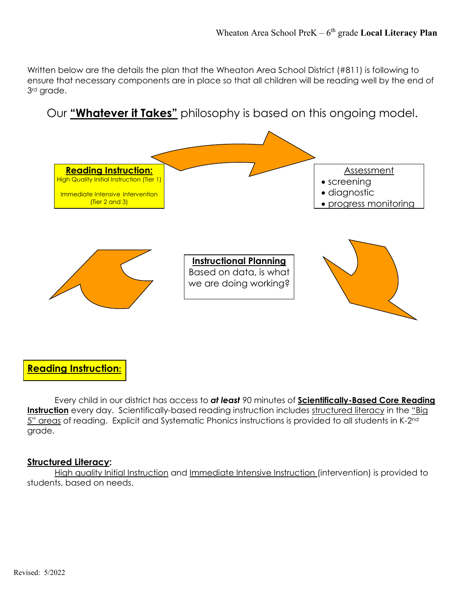Written below are the details the plan that the Wheaton Area School District (#811) is following to ensure that necessary components are in place so that all children will be reading well by the end of 3rd grade.

# Our **"Whatever it Takes"** philosophy is based on this ongoing model.



## **Reading Instruction:**

Every child in our district has access to *at least* 90 minutes of **Scientifically-Based Core Reading Instruction** every day. Scientifically-based reading instruction includes structured literacy in the "Big 5" areas of reading. Explicit and Systematic Phonics instructions is provided to all students in K-2<sup>nd</sup> grade.

#### **Structured Literacy:**

High quality Initial Instruction and Immediate Intensive Instruction (intervention) is provided to students, based on needs.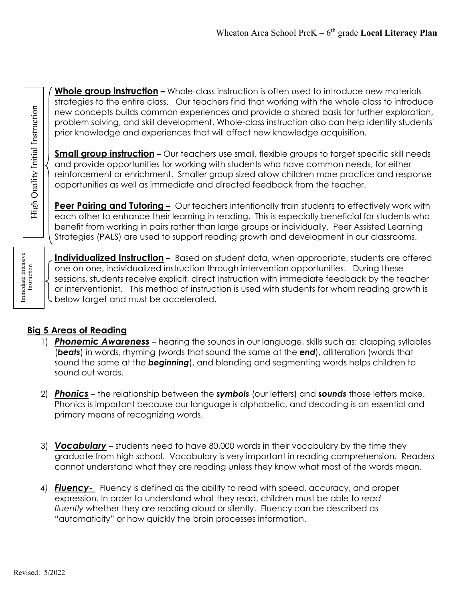**Whole group instruction –** Whole-class instruction is often used to introduce new materials new concepts builds common experiences and provide a shared basis for further exploration, problem solving, and skill development. Whole-class instruction also can help identify students' prior knowledge and experiences that will affect new knowledge acquisition.

and strategies to the entire class. Our teachers find that working with the whole class to introduce<br>
new concepts builds common experiences and provide a shared basis for further exploration,<br>
problem solving, and skill d **Small group instruction** – Our teachers use small, flexible groups to target specific skill needs and provide opportunities for working with students who have common needs, for either reinforcement or enrichment. Smaller group sized allow children more practice and response opportunities as well as immediate and directed feedback from the teacher.

**Peer Pairing and Tutoring –** Our teachers intentionally train students to effectively work with each other to enhance their learning in reading. This is especially beneficial for students who benefit from working in pairs rather than large groups or individually. Peer Assisted Learning Strategies (PALS) are used to support reading growth and development in our classrooms.

Immediate Intensive Instruction

High Quality Initial Instruction

**Individualized Instruction –** Based on student data, when appropriate, students are offered one on one, individualized instruction through intervention opportunities. During these sessions, students receive explicit, direct instruction with immediate feedback by the teacher **or interventionist.** This method of instruction is used with students for whom reading growth is the below target and must be accelerated. below target and must be accelerated.

## **Big 5 Areas of Reading**

- 1) *Phonemic Awareness* hearing the sounds in our language, skills such as: clapping syllables (*beats*) in words, rhyming (words that sound the same at the *end*), alliteration (words that sound the same at the *beginning*), and blending and segmenting words helps children to sound out words.
- 2) *Phonics* the relationship between the *symbols* (our letters) and *sounds* those letters make. Phonics is important because our language is alphabetic, and decoding is an essential and primary means of recognizing words.
- 3) *Vocabulary* students need to have 80,000 words in their vocabulary by the time they graduate from high school. Vocabulary is very important in reading comprehension. Readers cannot understand what they are reading unless they know what most of the words mean.
- *4) Fluency-* Fluency is defined as the ability to read with speed, accuracy, and proper expression. In order to understand what they read, children must be able to *read fluently* whether they are reading aloud or silently. Fluency can be described as "automaticity" or how quickly the brain processes information.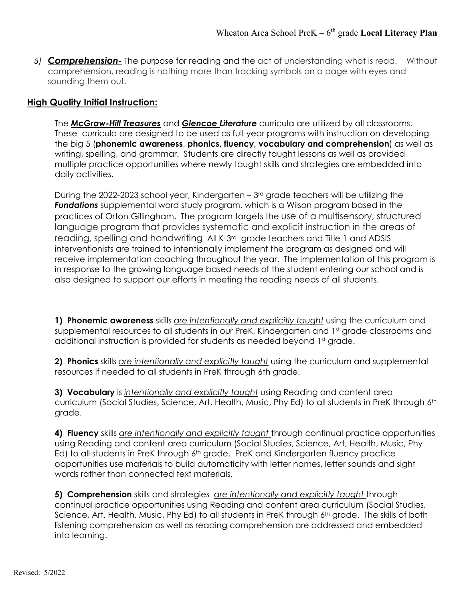*5) Comprehension-* The purpose for reading and the act of understanding what is read. Without comprehension, reading is nothing more than tracking symbols on a page with eyes and sounding them out.

#### **High Quality Initial Instruction:**

The *McGraw-Hill Treasures* and *Glencoe Literature* curricula are utilized by all classrooms. These curricula are designed to be used as full-year programs with instruction on developing the big 5 (**phonemic awareness**, **phonics, fluency, vocabulary and comprehension**) as well as writing, spelling, and grammar. Students are directly taught lessons as well as provided multiple practice opportunities where newly taught skills and strategies are embedded into daily activities.

During the 2022-2023 school year, Kindergarten –  $3<sup>rd</sup>$  grade teachers will be utilizing the *Fundations* supplemental word study program, which is a Wilson program based in the practices of Orton Gillingham. The program targets the use of a multisensory, structured language program that provides systematic and explicit instruction in the areas of reading, spelling and handwriting All K-3rd grade teachers and Title 1 and ADSIS interventionists are trained to intentionally implement the program as designed and will receive implementation coaching throughout the year. The implementation of this program is in response to the growing language based needs of the student entering our school and is also designed to support our efforts in meeting the reading needs of all students.

**1) Phonemic awareness** skills *are intentionally and explicitly taught* using the curriculum and supplemental resources to all students in our PreK, Kindergarten and 1<sup>st</sup> grade classrooms and additional instruction is provided for students as needed beyond 1st grade.

**2) Phonics** skills *are intentionally and explicitly taught* using the curriculum and supplemental resources if needed to all students in PreK through 6th grade.

**3) Vocabulary** is *intentionally and explicitly taught* using Reading and content area curriculum (Social Studies, Science, Art, Health, Music, Phy Ed) to all students in PreK through 6th grade.

**4) Fluency** skills *are intentionally and explicitly taught* through continual practice opportunities using Reading and content area curriculum (Social Studies, Science, Art, Health, Music, Phy Ed) to all students in PreK through 6<sup>th</sup> grade. PreK and Kindergarten fluency practice opportunities use materials to build automaticity with letter names, letter sounds and sight words rather than connected text materials.

**5) Comprehension** skills and strategies *are intentionally and explicitly taught* through continual practice opportunities using Reading and content area curriculum (Social Studies, Science, Art, Health, Music, Phy Ed) to all students in PreK through 6<sup>th</sup> grade. The skills of both listening comprehension as well as reading comprehension are addressed and embedded into learning.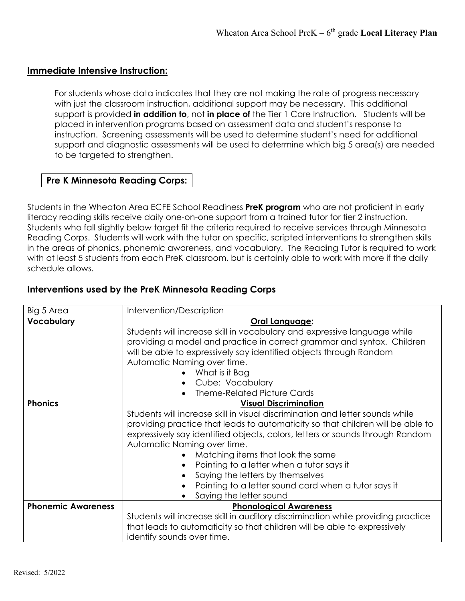#### **Immediate Intensive Instruction:**

For students whose data indicates that they are not making the rate of progress necessary with just the classroom instruction, additional support may be necessary. This additional support is provided **in addition to**, not **in place of** the Tier 1 Core Instruction. Students will be placed in intervention programs based on assessment data and student's response to instruction. Screening assessments will be used to determine student's need for additional support and diagnostic assessments will be used to determine which big 5 area(s) are needed to be targeted to strengthen.

## **Pre K Minnesota Reading Corps:**

Students in the Wheaton Area ECFE School Readiness **PreK program** who are not proficient in early literacy reading skills receive daily one-on-one support from a trained tutor for tier 2 instruction. Students who fall slightly below target fit the criteria required to receive services through Minnesota Reading Corps. Students will work with the tutor on specific, scripted interventions to strengthen skills in the areas of phonics, phonemic awareness, and vocabulary. The Reading Tutor is required to work with at least 5 students from each PreK classroom, but is certainly able to work with more if the daily schedule allows.

#### **Interventions used by the PreK Minnesota Reading Corps**

| Big 5 Area                | Intervention/Description                                                         |
|---------------------------|----------------------------------------------------------------------------------|
| <b>Vocabulary</b>         | Oral Language:                                                                   |
|                           | Students will increase skill in vocabulary and expressive language while         |
|                           | providing a model and practice in correct grammar and syntax. Children           |
|                           | will be able to expressively say identified objects through Random               |
|                           | Automatic Naming over time.                                                      |
|                           | What is it Bag                                                                   |
|                           | Cube: Vocabulary                                                                 |
|                           | <b>Theme-Related Picture Cards</b>                                               |
| <b>Phonics</b>            | <b>Visual Discrimination</b>                                                     |
|                           | Students will increase skill in visual discrimination and letter sounds while    |
|                           | providing practice that leads to automaticity so that children will be able to   |
|                           | expressively say identified objects, colors, letters or sounds through Random    |
|                           | Automatic Naming over time.                                                      |
|                           | Matching items that look the same<br>$\bullet$                                   |
|                           | Pointing to a letter when a tutor says it<br>$\bullet$                           |
|                           | Saying the letters by themselves                                                 |
|                           | Pointing to a letter sound card when a tutor says it                             |
|                           | Saying the letter sound                                                          |
| <b>Phonemic Awareness</b> | <b>Phonological Awareness</b>                                                    |
|                           | Students will increase skill in auditory discrimination while providing practice |
|                           | that leads to automaticity so that children will be able to expressively         |
|                           | identify sounds over time.                                                       |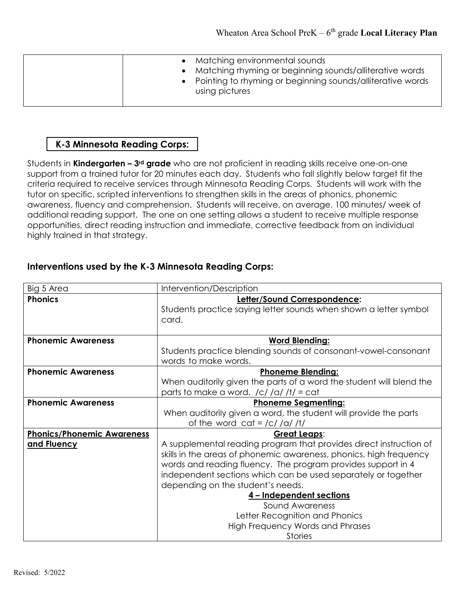| • Pointing to rhyming or beginning sounds/alliterative words<br>using pictures |  | • Matching environmental sounds<br>• Matching rhyming or beginning sounds/alliterative words |
|--------------------------------------------------------------------------------|--|----------------------------------------------------------------------------------------------|
|--------------------------------------------------------------------------------|--|----------------------------------------------------------------------------------------------|

## **K-3 Minnesota Reading Corps:**

Students in **Kindergarten – 3rd grade** who are not proficient in reading skills receive one-on-one support from a trained tutor for 20 minutes each day. Students who fall slightly below target fit the criteria required to receive services through Minnesota Reading Corps. Students will work with the tutor on specific, scripted interventions to strengthen skills in the areas of phonics, phonemic awareness, fluency and comprehension. Students will receive, on average, 100 minutes/ week of additional reading support. The one on one setting allows a student to receive multiple response opportunities, direct reading instruction and immediate, corrective feedback from an individual highly trained in that strategy.

| Big 5 Area                        | Intervention/Description                                                                                                                                                                                                                                                                                                                                                                                                                                     |
|-----------------------------------|--------------------------------------------------------------------------------------------------------------------------------------------------------------------------------------------------------------------------------------------------------------------------------------------------------------------------------------------------------------------------------------------------------------------------------------------------------------|
| <b>Phonics</b>                    | Letter/Sound Correspondence:<br>Students practice saying letter sounds when shown a letter symbol<br>card.                                                                                                                                                                                                                                                                                                                                                   |
| <b>Phonemic Awareness</b>         | <b>Word Blending:</b><br>Students practice blending sounds of consonant-vowel-consonant<br>words to make words.                                                                                                                                                                                                                                                                                                                                              |
| <b>Phonemic Awareness</b>         | <b>Phoneme Blending:</b>                                                                                                                                                                                                                                                                                                                                                                                                                                     |
|                                   | When auditorily given the parts of a word the student will blend the<br>parts to make a word. $/c$ /a/ /t/ = cat                                                                                                                                                                                                                                                                                                                                             |
| <b>Phonemic Awareness</b>         | <b>Phoneme Segmenting:</b>                                                                                                                                                                                                                                                                                                                                                                                                                                   |
|                                   | When auditorily given a word, the student will provide the parts<br>of the word $cat = /c / /a / /t/$                                                                                                                                                                                                                                                                                                                                                        |
| <b>Phonics/Phonemic Awareness</b> | Great Leaps:                                                                                                                                                                                                                                                                                                                                                                                                                                                 |
| and Fluency                       | A supplemental reading program that provides direct instruction of<br>skills in the areas of phonemic awareness, phonics, high frequency<br>words and reading fluency. The program provides support in 4<br>independent sections which can be used separately or together<br>depending on the student's needs.<br>4 - Independent sections<br>Sound Awareness<br>Letter Recognition and Phonics<br><b>High Frequency Words and Phrases</b><br><b>Stories</b> |

#### **Interventions used by the K-3 Minnesota Reading Corps:**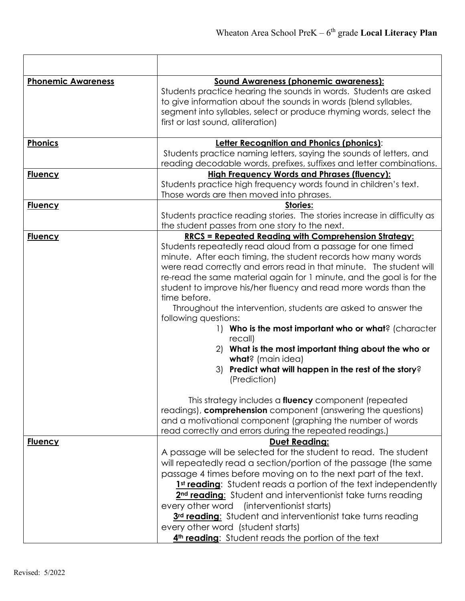| <b>Phonemic Awareness</b> | <b>Sound Awareness (phonemic awareness):</b>                             |
|---------------------------|--------------------------------------------------------------------------|
|                           | Students practice hearing the sounds in words. Students are asked        |
|                           | to give information about the sounds in words (blend syllables,          |
|                           | segment into syllables, select or produce rhyming words, select the      |
|                           | first or last sound, alliteration)                                       |
|                           |                                                                          |
| Phonics                   | Letter Recognition and Phonics (phonics):                                |
|                           | Students practice naming letters, saying the sounds of letters, and      |
|                           | reading decodable words, prefixes, suffixes and letter combinations.     |
| <b>Fluency</b>            | <b>High Frequency Words and Phrases (fluency):</b>                       |
|                           | Students practice high frequency words found in children's text.         |
|                           | Those words are then moved into phrases.                                 |
| <b>Fluency</b>            | Stories:                                                                 |
|                           | Students practice reading stories. The stories increase in difficulty as |
|                           | the student passes from one story to the next.                           |
| <b>Fluency</b>            | <u> RRCS = Repeated Reading with Comprehension Strategy:</u>             |
|                           | Students repeatedly read aloud from a passage for one timed              |
|                           | minute. After each timing, the student records how many words            |
|                           | were read correctly and errors read in that minute. The student will     |
|                           | re-read the same material again for 1 minute, and the goal is for the    |
|                           | student to improve his/her fluency and read more words than the          |
|                           | time before.                                                             |
|                           | Throughout the intervention, students are asked to answer the            |
|                           | following questions:                                                     |
|                           | 1) Who is the most important who or what? (character                     |
|                           | recall)                                                                  |
|                           | 2) What is the most important thing about the who or                     |
|                           | what? (main idea)                                                        |
|                           | 3) Predict what will happen in the rest of the story?                    |
|                           | (Prediction)                                                             |
|                           | This strategy includes a fluency component (repeated                     |
|                           | readings), comprehension component (answering the questions)             |
|                           | and a motivational component (graphing the number of words               |
|                           | read correctly and errors during the repeated readings.)                 |
| <b>Fluency</b>            | <b>Duet Reading:</b>                                                     |
|                           | A passage will be selected for the student to read. The student          |
|                           | will repeatedly read a section/portion of the passage (the same          |
|                           |                                                                          |
|                           | passage 4 times before moving on to the next part of the text.           |
|                           | <b>1st reading:</b> Student reads a portion of the text independently    |
|                           | 2 <sup>nd</sup> reading: Student and interventionist take turns reading  |
|                           | (interventionist starts)<br>every other word                             |
|                           | 3rd reading: Student and interventionist take turns reading              |
|                           | every other word (student starts)                                        |
|                           | 4th reading: Student reads the portion of the text                       |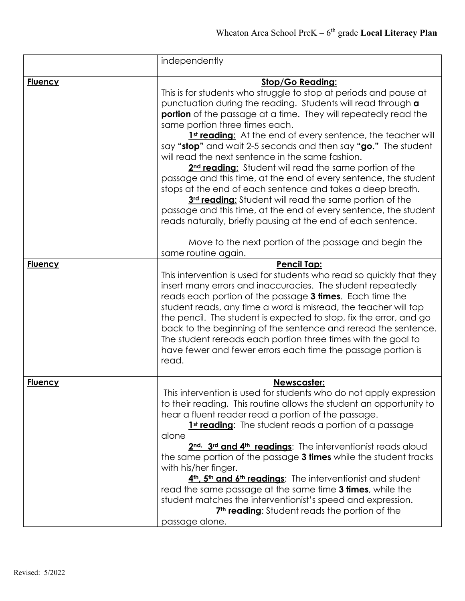|                | independently                                                                                                                                                                                                                                                                                                                                                                                                                                                                                                                                                                                                                                                                                                                                                                                                                                                                                                                                        |
|----------------|------------------------------------------------------------------------------------------------------------------------------------------------------------------------------------------------------------------------------------------------------------------------------------------------------------------------------------------------------------------------------------------------------------------------------------------------------------------------------------------------------------------------------------------------------------------------------------------------------------------------------------------------------------------------------------------------------------------------------------------------------------------------------------------------------------------------------------------------------------------------------------------------------------------------------------------------------|
| <b>Fluency</b> | <b>Stop/Go Reading:</b><br>This is for students who struggle to stop at periods and pause at<br>punctuation during the reading. Students will read through a<br><b>portion</b> of the passage at a time. They will repeatedly read the<br>same portion three times each.<br>1st reading: At the end of every sentence, the teacher will<br>say "stop" and wait 2-5 seconds and then say "go." The student<br>will read the next sentence in the same fashion.<br>2 <sup>nd</sup> reading: Student will read the same portion of the<br>passage and this time, at the end of every sentence, the student<br>stops at the end of each sentence and takes a deep breath.<br>3rd reading: Student will read the same portion of the<br>passage and this time, at the end of every sentence, the student<br>reads naturally, briefly pausing at the end of each sentence.<br>Move to the next portion of the passage and begin the<br>same routine again. |
| <b>Fluency</b> | Pencil Tap:<br>This intervention is used for students who read so quickly that they<br>insert many errors and inaccuracies. The student repeatedly<br>reads each portion of the passage 3 times. Each time the<br>student reads, any time a word is misread, the teacher will tap<br>the pencil. The student is expected to stop, fix the error, and go<br>back to the beginning of the sentence and reread the sentence.<br>The student rereads each portion three times with the goal to<br>have fewer and fewer errors each time the passage portion is<br>read.                                                                                                                                                                                                                                                                                                                                                                                  |
| <b>Fluency</b> | Newscaster:<br>This intervention is used for students who do not apply expression<br>to their reading. This routine allows the student an opportunity to<br>hear a fluent reader read a portion of the passage.<br>1 <sup>st</sup> reading: The student reads a portion of a passage<br>alone<br>2 <sup>nd,</sup> 3 <sup>rd</sup> and 4 <sup>th</sup> readings: The interventionist reads aloud<br>the same portion of the passage 3 times while the student tracks<br>with his/her finger.<br>4 <sup>th</sup> , 5 <sup>th</sup> and 6 <sup>th</sup> readings: The interventionist and student<br>read the same passage at the same time 3 times, while the<br>student matches the interventionist's speed and expression.<br>7 <sup>th</sup> reading: Student reads the portion of the<br>passage alone.                                                                                                                                            |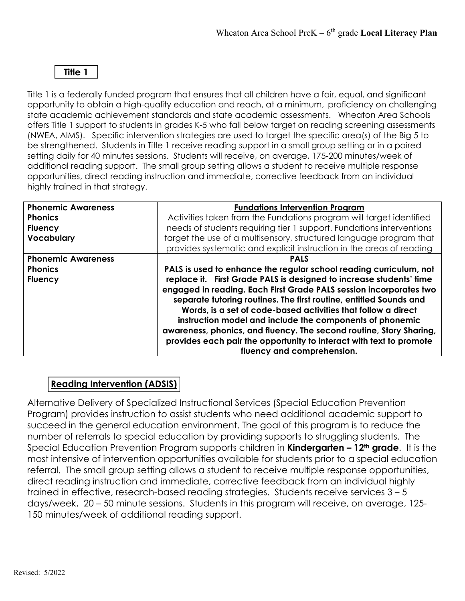## **Title 1**

Title 1 is a federally funded program that ensures that all children have a fair, equal, and significant opportunity to obtain a high-quality education and reach, at a minimum, proficiency on challenging state academic achievement standards and state academic assessments. Wheaton Area Schools offers Title 1 support to students in grades K-5 who fall below target on reading screening assessments (NWEA, AIMS). Specific intervention strategies are used to target the specific area(s) of the Big 5 to be strengthened. Students in Title 1 receive reading support in a small group setting or in a paired setting daily for 40 minutes sessions. Students will receive, on average, 175-200 minutes/week of additional reading support. The small group setting allows a student to receive multiple response opportunities, direct reading instruction and immediate, corrective feedback from an individual highly trained in that strategy.

| <b>Phonemic Awareness</b><br><b>Phonics</b><br><b>Fluency</b><br><b>Vocabulary</b> | <b>Fundations Intervention Program</b><br>Activities taken from the Fundations program will target identified<br>needs of students requiring tier 1 support. Fundations interventions<br>target the use of a multisensory, structured language program that<br>provides systematic and explicit instruction in the areas of reading                                                                                                                                                                                      |
|------------------------------------------------------------------------------------|--------------------------------------------------------------------------------------------------------------------------------------------------------------------------------------------------------------------------------------------------------------------------------------------------------------------------------------------------------------------------------------------------------------------------------------------------------------------------------------------------------------------------|
| <b>Phonemic Awareness</b>                                                          | <b>PALS</b>                                                                                                                                                                                                                                                                                                                                                                                                                                                                                                              |
| <b>Phonics</b>                                                                     | PALS is used to enhance the regular school reading curriculum, not                                                                                                                                                                                                                                                                                                                                                                                                                                                       |
| <b>Fluency</b>                                                                     | replace it. First Grade PALS is designed to increase students' time<br>engaged in reading. Each First Grade PALS session incorporates two<br>separate tutoring routines. The first routine, entitled Sounds and<br>Words, is a set of code-based activities that follow a direct<br>instruction model and include the components of phonemic<br>awareness, phonics, and fluency. The second routine, Story Sharing,<br>provides each pair the opportunity to interact with text to promote<br>fluency and comprehension. |

## **Reading Intervention (ADSIS)**

Alternative Delivery of Specialized Instructional Services (Special Education Prevention Program) provides instruction to assist students who need additional academic support to succeed in the general education environment. The goal of this program is to reduce the number of referrals to special education by providing supports to struggling students. The Special Education Prevention Program supports children in **Kindergarten – 12th grade**. It is the most intensive of intervention opportunities available for students prior to a special education referral. The small group setting allows a student to receive multiple response opportunities, direct reading instruction and immediate, corrective feedback from an individual highly trained in effective, research-based reading strategies. Students receive services 3 – 5 days/week, 20 – 50 minute sessions. Students in this program will receive, on average, 125- 150 minutes/week of additional reading support.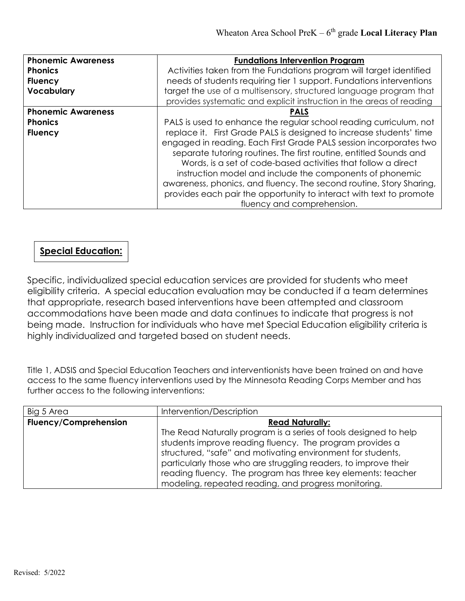| <b>Fundations Intervention Program</b>                                                                                                                                                                                                                                                                                                                                                                                                                                                                                   |
|--------------------------------------------------------------------------------------------------------------------------------------------------------------------------------------------------------------------------------------------------------------------------------------------------------------------------------------------------------------------------------------------------------------------------------------------------------------------------------------------------------------------------|
| Activities taken from the Fundations program will target identified                                                                                                                                                                                                                                                                                                                                                                                                                                                      |
| needs of students requiring tier 1 support. Fundations interventions                                                                                                                                                                                                                                                                                                                                                                                                                                                     |
| target the use of a multisensory, structured language program that                                                                                                                                                                                                                                                                                                                                                                                                                                                       |
| provides systematic and explicit instruction in the areas of reading                                                                                                                                                                                                                                                                                                                                                                                                                                                     |
| <b>PALS</b>                                                                                                                                                                                                                                                                                                                                                                                                                                                                                                              |
| PALS is used to enhance the regular school reading curriculum, not                                                                                                                                                                                                                                                                                                                                                                                                                                                       |
| replace it. First Grade PALS is designed to increase students' time<br>engaged in reading. Each First Grade PALS session incorporates two<br>separate tutoring routines. The first routine, entitled Sounds and<br>Words, is a set of code-based activities that follow a direct<br>instruction model and include the components of phonemic<br>awareness, phonics, and fluency. The second routine, Story Sharing,<br>provides each pair the opportunity to interact with text to promote<br>fluency and comprehension. |
|                                                                                                                                                                                                                                                                                                                                                                                                                                                                                                                          |

## **Special Education:**

Specific, individualized special education services are provided for students who meet eligibility criteria. A special education evaluation may be conducted if a team determines that appropriate, research based interventions have been attempted and classroom accommodations have been made and data continues to indicate that progress is not being made. Instruction for individuals who have met Special Education eligibility criteria is highly individualized and targeted based on student needs.

Title 1, ADSIS and Special Education Teachers and interventionists have been trained on and have access to the same fluency interventions used by the Minnesota Reading Corps Member and has further access to the following interventions:

| Big 5 Area                   | Intervention/Description                                         |
|------------------------------|------------------------------------------------------------------|
| <b>Fluency/Comprehension</b> | <b>Read Naturally:</b>                                           |
|                              | The Read Naturally program is a series of tools designed to help |
|                              | students improve reading fluency. The program provides a         |
|                              | structured, "safe" and motivating environment for students,      |
|                              | particularly those who are struggling readers, to improve their  |
|                              | reading fluency. The program has three key elements: teacher     |
|                              | modeling, repeated reading, and progress monitoring.             |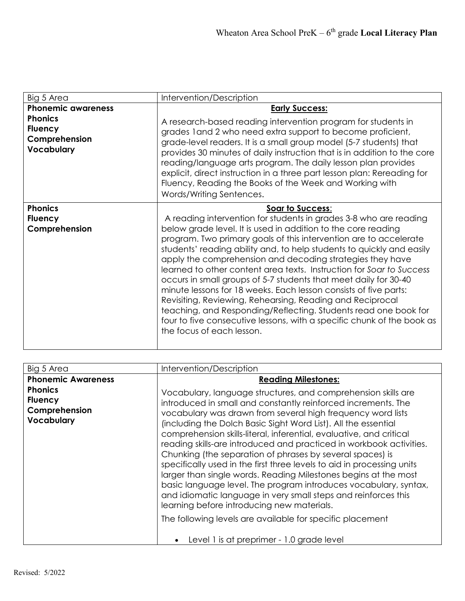| Big 5 Area                                                      | Intervention/Description                                                                                                                                                                                                                                                                                                                                                                                                                                                                                                                                                                                                                                                                                                                                                                                                 |
|-----------------------------------------------------------------|--------------------------------------------------------------------------------------------------------------------------------------------------------------------------------------------------------------------------------------------------------------------------------------------------------------------------------------------------------------------------------------------------------------------------------------------------------------------------------------------------------------------------------------------------------------------------------------------------------------------------------------------------------------------------------------------------------------------------------------------------------------------------------------------------------------------------|
| <b>Phonemic awareness</b>                                       | <b>Early Success:</b>                                                                                                                                                                                                                                                                                                                                                                                                                                                                                                                                                                                                                                                                                                                                                                                                    |
| <b>Phonics</b><br><b>Fluency</b><br>Comprehension<br>Vocabulary | A research-based reading intervention program for students in<br>grades land 2 who need extra support to become proficient,<br>grade-level readers. It is a small group model (5-7 students) that<br>provides 30 minutes of daily instruction that is in addition to the core<br>reading/language arts program. The daily lesson plan provides<br>explicit, direct instruction in a three part lesson plan: Rereading for<br>Fluency, Reading the Books of the Week and Working with<br>Words/Writing Sentences.                                                                                                                                                                                                                                                                                                         |
| <b>Phonics</b><br><b>Fluency</b><br>Comprehension               | Soar to Success:<br>A reading intervention for students in grades 3-8 who are reading<br>below grade level. It is used in addition to the core reading<br>program. Two primary goals of this intervention are to accelerate<br>students' reading ability and, to help students to quickly and easily<br>apply the comprehension and decoding strategies they have<br>learned to other content area texts. Instruction for Soar to Success<br>occurs in small groups of 5-7 students that meet daily for 30-40<br>minute lessons for 18 weeks. Each lesson consists of five parts:<br>Revisiting, Reviewing, Rehearsing, Reading and Reciprocal<br>teaching, and Responding/Reflecting. Students read one book for<br>four to five consecutive lessons, with a specific chunk of the book as<br>the focus of each lesson. |

| Big 5 Area                                                             | Intervention/Description                                                                                                                                                                                                                                                                                                                                                                                                                                                                                                                                                                                                                                                                                                                                                                                    |
|------------------------------------------------------------------------|-------------------------------------------------------------------------------------------------------------------------------------------------------------------------------------------------------------------------------------------------------------------------------------------------------------------------------------------------------------------------------------------------------------------------------------------------------------------------------------------------------------------------------------------------------------------------------------------------------------------------------------------------------------------------------------------------------------------------------------------------------------------------------------------------------------|
| <b>Phonemic Awareness</b>                                              | <b>Reading Milestones:</b>                                                                                                                                                                                                                                                                                                                                                                                                                                                                                                                                                                                                                                                                                                                                                                                  |
| <b>Phonics</b><br><b>Fluency</b><br>Comprehension<br><b>Vocabulary</b> | Vocabulary, language structures, and comprehension skills are<br>introduced in small and constantly reinforced increments. The<br>vocabulary was drawn from several high frequency word lists<br>(including the Dolch Basic Sight Word List). All the essential<br>comprehension skills-literal, inferential, evaluative, and critical<br>reading skills-are introduced and practiced in workbook activities.<br>Chunking (the separation of phrases by several spaces) is<br>specifically used in the first three levels to aid in processing units<br>larger than single words. Reading Milestones begins at the most<br>basic language level. The program introduces vocabulary, syntax,<br>and idiomatic language in very small steps and reinforces this<br>learning before introducing new materials. |
|                                                                        | The following levels are available for specific placement                                                                                                                                                                                                                                                                                                                                                                                                                                                                                                                                                                                                                                                                                                                                                   |
|                                                                        | Level 1 is at preprimer - 1.0 grade level<br>$\bullet$                                                                                                                                                                                                                                                                                                                                                                                                                                                                                                                                                                                                                                                                                                                                                      |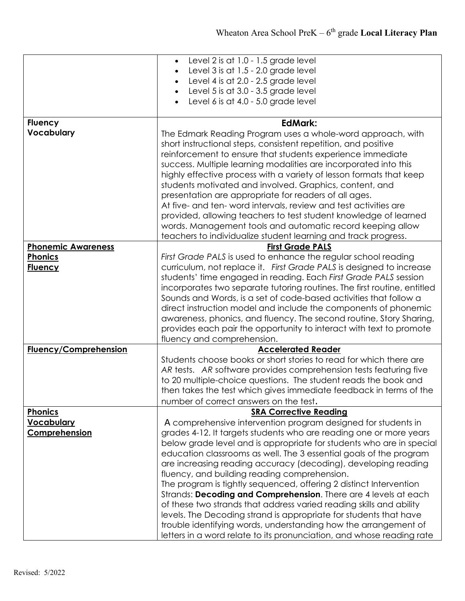|                           | Level 2 is at 1.0 - 1.5 grade level<br>$\bullet$                         |
|---------------------------|--------------------------------------------------------------------------|
|                           | Level $3$ is at $1.5 - 2.0$ grade level<br>$\bullet$                     |
|                           | Level 4 is at 2.0 - 2.5 grade level<br>$\bullet$                         |
|                           | Level 5 is at 3.0 - 3.5 grade level<br>$\bullet$                         |
|                           | Level 6 is at $4.0 - 5.0$ grade level                                    |
|                           |                                                                          |
| <b>Fluency</b>            | <b>EdMark:</b>                                                           |
| Vocabulary                | The Edmark Reading Program uses a whole-word approach, with              |
|                           | short instructional steps, consistent repetition, and positive           |
|                           | reinforcement to ensure that students experience immediate               |
|                           | success. Multiple learning modalities are incorporated into this         |
|                           | highly effective process with a variety of lesson formats that keep      |
|                           | students motivated and involved. Graphics, content, and                  |
|                           | presentation are appropriate for readers of all ages.                    |
|                           | At five- and ten- word intervals, review and test activities are         |
|                           | provided, allowing teachers to test student knowledge of learned         |
|                           | words. Management tools and automatic record keeping allow               |
|                           | teachers to individualize student learning and track progress.           |
| <b>Phonemic Awareness</b> | <b>First Grade PALS</b>                                                  |
| <b>Phonics</b>            | First Grade PALS is used to enhance the regular school reading           |
| <b>Fluency</b>            | curriculum, not replace it. First Grade PALS is designed to increase     |
|                           | students' time engaged in reading. Each First Grade PALS session         |
|                           | incorporates two separate tutoring routines. The first routine, entitled |
|                           | Sounds and Words, is a set of code-based activities that follow a        |
|                           | direct instruction model and include the components of phonemic          |
|                           | awareness, phonics, and fluency. The second routine, Story Sharing,      |
|                           | provides each pair the opportunity to interact with text to promote      |
|                           | fluency and comprehension.                                               |
| Fluency/Comprehension     | <b>Accelerated Reader</b>                                                |
|                           | Students choose books or short stories to read for which there are       |
|                           | AR tests. AR software provides comprehension tests featuring five        |
|                           | to 20 multiple-choice questions. The student reads the book and          |
|                           | then takes the test which gives immediate feedback in terms of the       |
|                           | number of correct answers on the test.                                   |
| <b>Phonics</b>            | <b>SRA Corrective Reading</b>                                            |
| <b>Vocabulary</b>         | A comprehensive intervention program designed for students in            |
| Comprehension             | grades 4-12. It targets students who are reading one or more years       |
|                           | below grade level and is appropriate for students who are in special     |
|                           | education classrooms as well. The 3 essential goals of the program       |
|                           | are increasing reading accuracy (decoding), developing reading           |
|                           | fluency, and building reading comprehension.                             |
|                           | The program is tightly sequenced, offering 2 distinct Intervention       |
|                           | Strands: Decoding and Comprehension. There are 4 levels at each          |
|                           | of these two strands that address varied reading skills and ability      |
|                           | levels. The Decoding strand is appropriate for students that have        |
|                           | trouble identifying words, understanding how the arrangement of          |
|                           | letters in a word relate to its pronunciation, and whose reading rate    |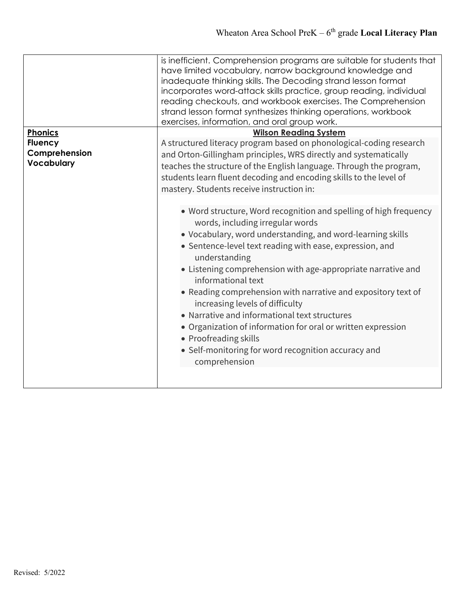|                             | is inefficient. Comprehension programs are suitable for students that<br>have limited vocabulary, narrow background knowledge and<br>inadequate thinking skills. The Decoding strand lesson format<br>incorporates word-attack skills practice, group reading, individual<br>reading checkouts, and workbook exercises. The Comprehension<br>strand lesson format synthesizes thinking operations, workbook<br>exercises, information, and oral group work.                                                                                                                                                                                                  |
|-----------------------------|--------------------------------------------------------------------------------------------------------------------------------------------------------------------------------------------------------------------------------------------------------------------------------------------------------------------------------------------------------------------------------------------------------------------------------------------------------------------------------------------------------------------------------------------------------------------------------------------------------------------------------------------------------------|
| Phonics                     | <b>Wilson Reading System</b>                                                                                                                                                                                                                                                                                                                                                                                                                                                                                                                                                                                                                                 |
| <b>Fluency</b>              | A structured literacy program based on phonological-coding research                                                                                                                                                                                                                                                                                                                                                                                                                                                                                                                                                                                          |
| Comprehension<br>Vocabulary | and Orton-Gillingham principles, WRS directly and systematically                                                                                                                                                                                                                                                                                                                                                                                                                                                                                                                                                                                             |
|                             | teaches the structure of the English language. Through the program,                                                                                                                                                                                                                                                                                                                                                                                                                                                                                                                                                                                          |
|                             | students learn fluent decoding and encoding skills to the level of                                                                                                                                                                                                                                                                                                                                                                                                                                                                                                                                                                                           |
|                             | mastery. Students receive instruction in:                                                                                                                                                                                                                                                                                                                                                                                                                                                                                                                                                                                                                    |
|                             | • Word structure, Word recognition and spelling of high frequency<br>words, including irregular words<br>• Vocabulary, word understanding, and word-learning skills<br>• Sentence-level text reading with ease, expression, and<br>understanding<br>• Listening comprehension with age-appropriate narrative and<br>informational text<br>• Reading comprehension with narrative and expository text of<br>increasing levels of difficulty<br>• Narrative and informational text structures<br>• Organization of information for oral or written expression<br>• Proofreading skills<br>• Self-monitoring for word recognition accuracy and<br>comprehension |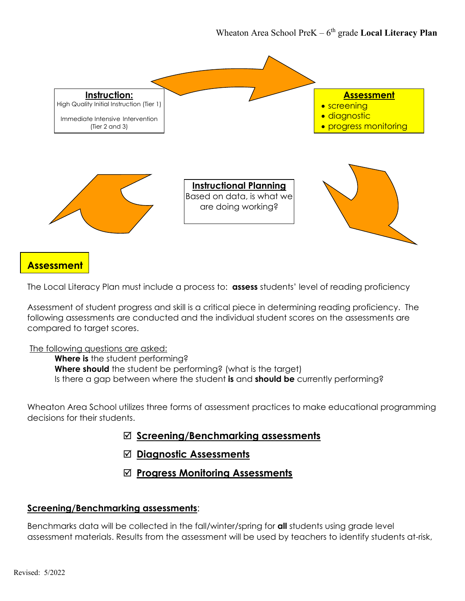

## **Assessment**

The Local Literacy Plan must include a process to: **assess** students' level of reading proficiency

Assessment of student progress and skill is a critical piece in determining reading proficiency. The following assessments are conducted and the individual student scores on the assessments are compared to target scores.

#### The following questions are asked:

**Where is** the student performing? **Where should** the student be performing? (what is the target) Is there a gap between where the student **is** and **should be** currently performing?

Wheaton Area School utilizes three forms of assessment practices to make educational programming decisions for their students.

- **Screening/Benchmarking assessments**
- **Diagnostic Assessments**
- **Progress Monitoring Assessments**

#### **Screening/Benchmarking assessments**:

Benchmarks data will be collected in the fall/winter/spring for **all** students using grade level assessment materials. Results from the assessment will be used by teachers to identify students at-risk,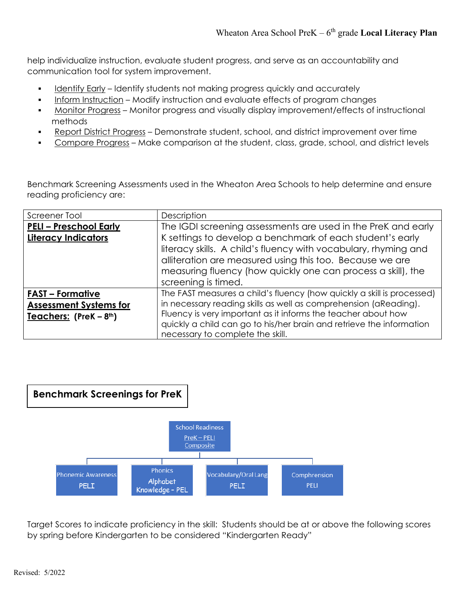help individualize instruction, evaluate student progress, and serve as an accountability and communication tool for system improvement.

- Identify Early Identify students not making progress quickly and accurately
- Inform Instruction Modify instruction and evaluate effects of program changes
- Monitor Progress Monitor progress and visually display improvement/effects of instructional methods
- Report District Progress Demonstrate student, school, and district improvement over time
- Compare Progress Make comparison at the student, class, grade, school, and district levels

Benchmark Screening Assessments used in the Wheaton Area Schools to help determine and ensure reading proficiency are:

| Screener Tool                 | Description                                                            |
|-------------------------------|------------------------------------------------------------------------|
| <b>PELI - Preschool Early</b> | The IGDI screening assessments are used in the PreK and early          |
| <b>Literacy Indicators</b>    | K settings to develop a benchmark of each student's early              |
|                               | literacy skills. A child's fluency with vocabulary, rhyming and        |
|                               | alliteration are measured using this too. Because we are               |
|                               | measuring fluency (how quickly one can process a skill), the           |
|                               | screening is timed.                                                    |
| <b>FAST - Formative</b>       | The FAST measures a child's fluency (how quickly a skill is processed) |
| <b>Assessment Systems for</b> | in necessary reading skills as well as comprehension (aReading).       |
| Teachers: (PreK - 8th)        | Fluency is very important as it informs the teacher about how          |
|                               | quickly a child can go to his/her brain and retrieve the information   |
|                               | necessary to complete the skill.                                       |



Target Scores to indicate proficiency in the skill: Students should be at or above the following scores by spring before Kindergarten to be considered "Kindergarten Ready"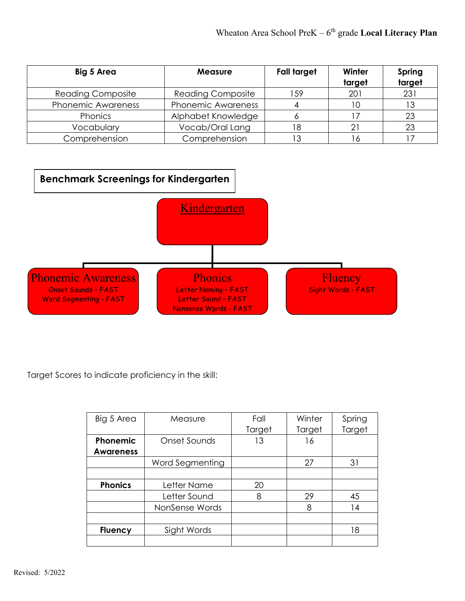| Big 5 Area                | <b>Measure</b>            | Fall target | Winter<br>target | Spring<br>target |
|---------------------------|---------------------------|-------------|------------------|------------------|
| <b>Reading Composite</b>  | <b>Reading Composite</b>  | 159         | 201              | 231              |
| <b>Phonemic Awareness</b> | <b>Phonemic Awareness</b> |             | 10               |                  |
| Phonics                   | Alphabet Knowledge        |             |                  | 23               |
| Vocabulary                | Vocab/Oral Lang           | 8           |                  | 23               |
| Comprehension             | Comprehension             |             |                  |                  |



Target Scores to indicate proficiency in the skill:

| Big 5 Area       | Measure         | Fall   | Winter | Spring |
|------------------|-----------------|--------|--------|--------|
|                  |                 | Target | Target | Target |
| Phonemic         | Onset Sounds    | 13     | 16     |        |
| <b>Awareness</b> |                 |        |        |        |
|                  | Word Segmenting |        | 27     | 31     |
|                  |                 |        |        |        |
| <b>Phonics</b>   | Letter Name     | 20     |        |        |
|                  | Letter Sound    | 8      | 29     | 45     |
|                  | NonSense Words  |        | 8      | 14     |
|                  |                 |        |        |        |
| <b>Fluency</b>   | Sight Words     |        |        | 18     |
|                  |                 |        |        |        |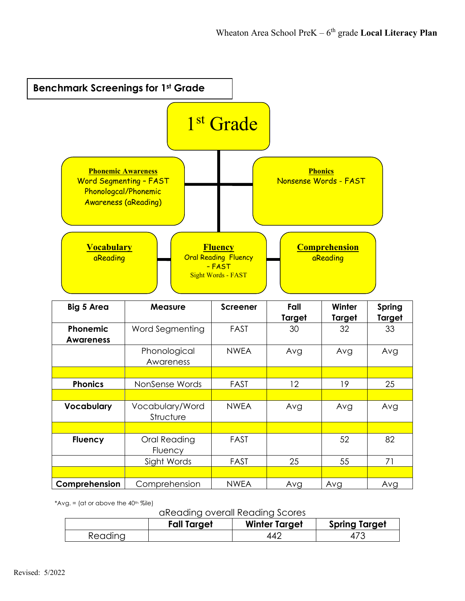

\*Avg.  $=$  (at or above the 40<sup>th  $%$  % km<sup>\*</sup></sup>

aReading overall Reading Scores

|         | <b>Fall Target</b> | <b>Winter Target</b> | <b>Spring Target</b> |
|---------|--------------------|----------------------|----------------------|
| Reading |                    | 44'                  | 4                    |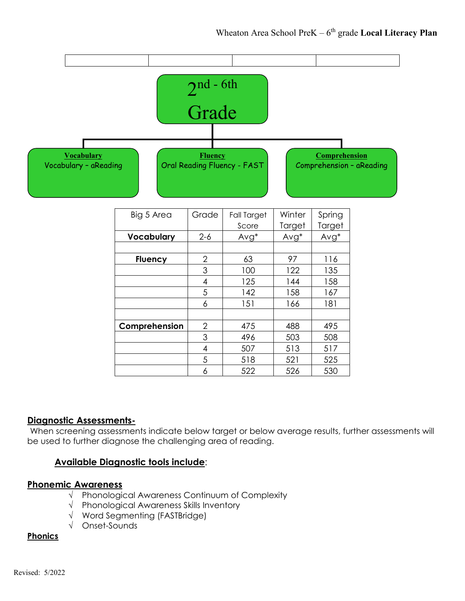

#### **Diagnostic Assessments-**

When screening assessments indicate below target or below average results, further assessments will be used to further diagnose the challenging area of reading.

#### **Available Diagnostic tools include**:

#### **Phonemic Awareness**

- √ Phonological Awareness Continuum of Complexity
- √ Phonological Awareness Skills Inventory
- √ Word Segmenting (FASTBridge)
- √ Onset-Sounds

#### **Phonics**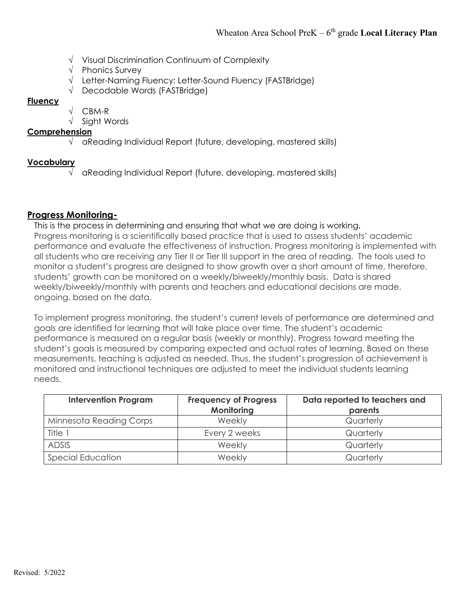- √ Visual Discrimination Continuum of Complexity
- √ Phonics Survey
- √ Letter-Naming Fluency; Letter-Sound Fluency (FASTBridge)
- √ Decodable Words (FASTBridge)

#### **Fluency**

- √ CBM-R
- √ Sight Words

#### **Comprehension**

√ aReading Individual Report (future, developing, mastered skills)

#### **Vocabulary**

√ aReading Individual Report (future, developing, mastered skills)

#### **Progress Monitoring-**

This is the process in determining and ensuring that what we are doing is working. Progress monitoring is a scientifically based practice that is used to assess students' academic performance and evaluate the effectiveness of instruction. Progress monitoring is implemented with all students who are receiving any Tier II or Tier III support in the area of reading. The tools used to monitor a student's progress are designed to show growth over a short amount of time, therefore, students' growth can be monitored on a weekly/biweekly/monthly basis. Data is shared weekly/biweekly/monthly with parents and teachers and educational decisions are made, ongoing, based on the data.

To implement progress monitoring, the student's current levels of performance are determined and goals are identified for learning that will take place over time. The student's academic performance is measured on a regular basis (weekly or monthly). Progress toward meeting the student's goals is measured by comparing expected and actual rates of learning. Based on these measurements, teaching is adjusted as needed. Thus, the student's progression of achievement is monitored and instructional techniques are adjusted to meet the individual students learning needs.

| <b>Intervention Program</b> | <b>Frequency of Progress</b><br>Monitoring | Data reported to teachers and<br>parents |
|-----------------------------|--------------------------------------------|------------------------------------------|
| Minnesota Reading Corps     | Weekly                                     | Quarterly                                |
| Title 1                     | Every 2 weeks                              | Quarterly                                |
| <b>ADSIS</b>                | Weekly                                     | Quarterly                                |
| <b>Special Education</b>    | Weekly                                     | Quarterly                                |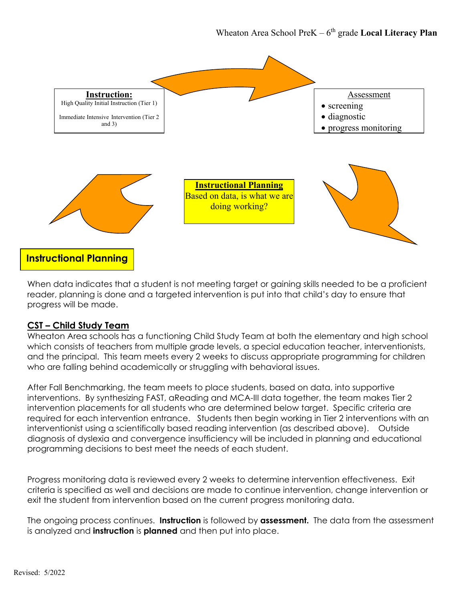

When data indicates that a student is not meeting target or gaining skills needed to be a proficient reader, planning is done and a targeted intervention is put into that child's day to ensure that progress will be made.

#### **CST – Child Study Team**

Wheaton Area schools has a functioning Child Study Team at both the elementary and high school which consists of teachers from multiple grade levels, a special education teacher, interventionists, and the principal. This team meets every 2 weeks to discuss appropriate programming for children who are falling behind academically or struggling with behavioral issues.

After Fall Benchmarking, the team meets to place students, based on data, into supportive interventions. By synthesizing FAST, aReading and MCA-III data together, the team makes Tier 2 intervention placements for all students who are determined below target. Specific criteria are required for each intervention entrance. Students then begin working in Tier 2 interventions with an interventionist using a scientifically based reading intervention (as described above). Outside diagnosis of dyslexia and convergence insufficiency will be included in planning and educational programming decisions to best meet the needs of each student.

Progress monitoring data is reviewed every 2 weeks to determine intervention effectiveness. Exit criteria is specified as well and decisions are made to continue intervention, change intervention or exit the student from intervention based on the current progress monitoring data.

The ongoing process continues. **Instruction** is followed by **assessment.** The data from the assessment is analyzed and **instruction** is **planned** and then put into place.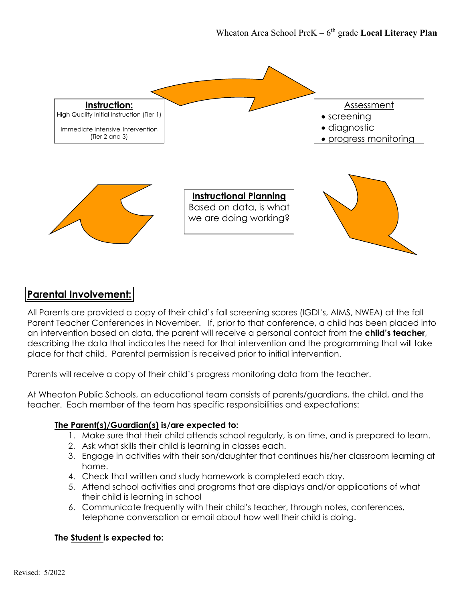

## **Parental Involvement:**

All Parents are provided a copy of their child's fall screening scores (IGDI's, AIMS, NWEA) at the fall Parent Teacher Conferences in November. If, prior to that conference, a child has been placed into an intervention based on data, the parent will receive a personal contact from the **child's teacher**, describing the data that indicates the need for that intervention and the programming that will take place for that child. Parental permission is received prior to initial intervention.

Parents will receive a copy of their child's progress monitoring data from the teacher.

At Wheaton Public Schools, an educational team consists of parents/guardians, the child, and the teacher. Each member of the team has specific responsibilities and expectations:

#### **The Parent(s)/Guardian(s) is/are expected to:**

- 1. Make sure that their child attends school regularly, is on time, and is prepared to learn.
- 2. Ask what skills their child is learning in classes each.
- 3. Engage in activities with their son/daughter that continues his/her classroom learning at home.
- 4. Check that written and study homework is completed each day.
- 5. Attend school activities and programs that are displays and/or applications of what their child is learning in school
- 6. Communicate frequently with their child's teacher, through notes, conferences, telephone conversation or email about how well their child is doing.

#### **The Student is expected to:**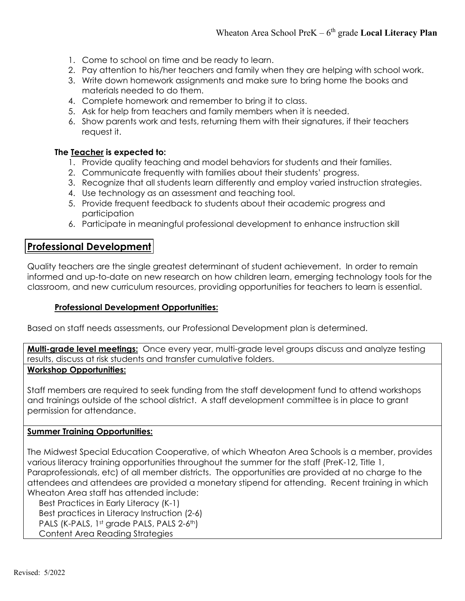- 1. Come to school on time and be ready to learn.
- 2. Pay attention to his/her teachers and family when they are helping with school work.
- 3. Write down homework assignments and make sure to bring home the books and materials needed to do them.
- 4. Complete homework and remember to bring it to class.
- 5. Ask for help from teachers and family members when it is needed.
- 6. Show parents work and tests, returning them with their signatures, if their teachers request it.

#### **The Teacher is expected to:**

- 1. Provide quality teaching and model behaviors for students and their families.
- 2. Communicate frequently with families about their students' progress.
- 3. Recognize that all students learn differently and employ varied instruction strategies.
- 4. Use technology as an assessment and teaching tool.
- 5. Provide frequent feedback to students about their academic progress and participation
- 6. Participate in meaningful professional development to enhance instruction skill

## **Professional Development**

Quality teachers are the single greatest determinant of student achievement. In order to remain informed and up-to-date on new research on how children learn, emerging technology tools for the classroom, and new curriculum resources, providing opportunities for teachers to learn is essential.

#### **Professional Development Opportunities:**

Based on staff needs assessments, our Professional Development plan is determined.

**Multi-grade level meetings:** Once every year, multi-grade level groups discuss and analyze testing results, discuss at risk students and transfer cumulative folders.

#### **Workshop Opportunities:**

Staff members are required to seek funding from the staff development fund to attend workshops and trainings outside of the school district. A staff development committee is in place to grant permission for attendance.

#### **Summer Training Opportunities:**

The Midwest Special Education Cooperative, of which Wheaton Area Schools is a member, provides various literacy training opportunities throughout the summer for the staff (PreK-12, Title 1, Paraprofessionals, etc) of all member districts. The opportunities are provided at no charge to the attendees and attendees are provided a monetary stipend for attending. Recent training in which Wheaton Area staff has attended include:

 Best Practices in Early Literacy (K-1) Best practices in Literacy Instruction (2-6) PALS (K-PALS, 1st grade PALS, PALS 2-6th) Content Area Reading Strategies